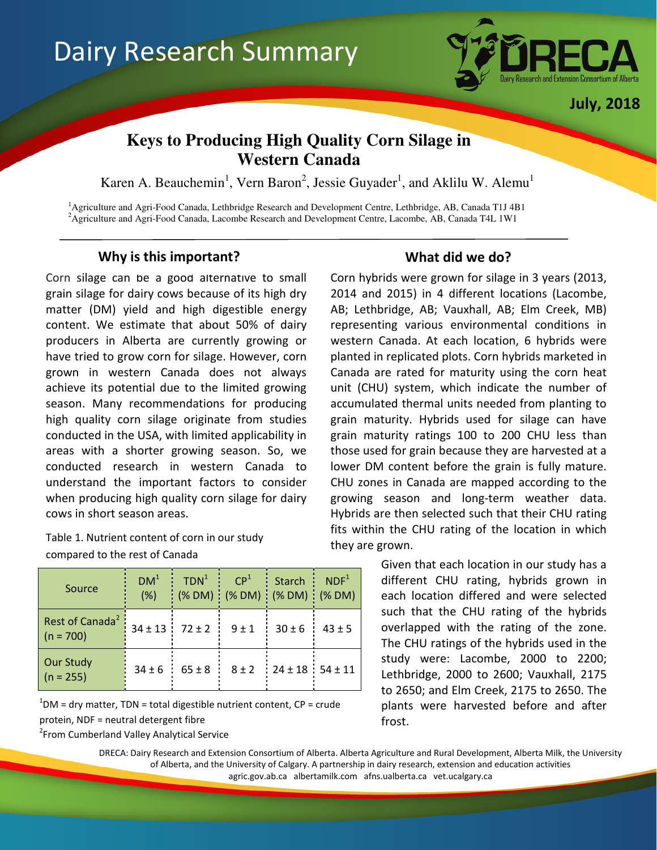

July, 2018

# **Keys to Producing High Quality Corn Silage in Western Canada**

Karen A. Beauchemin<sup>1</sup>, Vern Baron<sup>2</sup>, Jessie Guyader<sup>1</sup>, and Aklilu W. Alemu<sup>1</sup>

<sup>1</sup>Agriculture and Agri-Food Canada, Lethbridge Research and Development Centre, Lethbridge, AB, Canada T1J 4B1 <sup>2</sup> Agriculture and Agri-Food Canada, Lacombe Research and Development Centre, Lacombe, AB, Canada T4L 1W1

# Why is this important? What did we do?

Ï

Corn silage can be a good alternative to small grain silage for dairy cows because of its high dry matter (DM) yield and high digestible energy content. We estimate that about 50% of dairy producers in Alberta are currently growing or have tried to grow corn for silage. However, corn grown in western Canada does not always achieve its potential due to the limited growing season. Many recommendations for producing high quality corn silage originate from studies conducted in the USA, with limited applicability in areas with a shorter growing season. So, we conducted research in western Canada to understand the important factors to consider when producing high quality corn silage for dairy cows in short season areas.

Table 1. Nutrient content of corn in our study compared to the rest of Canada

| Source                                     | DM <sup>1</sup><br>(% ) | TDN <sup>1</sup>       | CP <sup>1</sup><br>(% DM) (% DM) (% DM) (% DM) | <b>Starch</b>           | NDF <sup>1</sup> |
|--------------------------------------------|-------------------------|------------------------|------------------------------------------------|-------------------------|------------------|
| Rest of Canada <sup>2</sup><br>$(n = 700)$ |                         | $34 \pm 13$ $72 \pm 2$ | $9 \pm 1$                                      | $30 \pm 6$              | $43 \pm 5$       |
| <b>Our Study</b><br>$(n = 255)$            | $34 \pm 6$              | $65 \pm 8$             | $8 \pm 2$                                      | $24 \pm 18$ 54 $\pm 11$ |                  |

 $1$ DM = dry matter, TDN = total digestible nutrient content, CP = crude protein, NDF = neutral detergent fibre

<sup>2</sup> From Cumberland Valley Analytical Service

Corn hybrids were grown for silage in 3 years (2013, 2014 and 2015) in 4 different locations (Lacombe, AB; Lethbridge, AB; Vauxhall, AB; Elm Creek, MB) representing various environmental conditions in western Canada. At each location, 6 hybrids were planted in replicated plots. Corn hybrids marketed in Canada are rated for maturity using the corn heat unit (CHU) system, which indicate the number of accumulated thermal units needed from planting to grain maturity. Hybrids used for silage can have grain maturity ratings 100 to 200 CHU less than those used for grain because they are harvested at a lower DM content before the grain is fully mature. CHU zones in Canada are mapped according to the growing season and long-term weather data. Hybrids are then selected such that their CHU rating fits within the CHU rating of the location in which they are grown.

> Given that each location in our study has a different CHU rating, hybrids grown in each location differed and were selected such that the CHU rating of the hybrids overlapped with the rating of the zone. The CHU ratings of the hybrids used in the study were: Lacombe, 2000 to 2200; Lethbridge, 2000 to 2600; Vauxhall, 2175 to 2650; and Elm Creek, 2175 to 2650. The plants were harvested before and after frost.

DRECA: Dairy Research and Extension Consortium of Alberta. Alberta Agriculture and Rural Development, Alberta Milk, the University of Alberta, and the University of Calgary. A partnership in dairy research, extension and education activities agric.gov.ab.ca albertamilk.com afns.ualberta.ca vet.ucalgary.ca